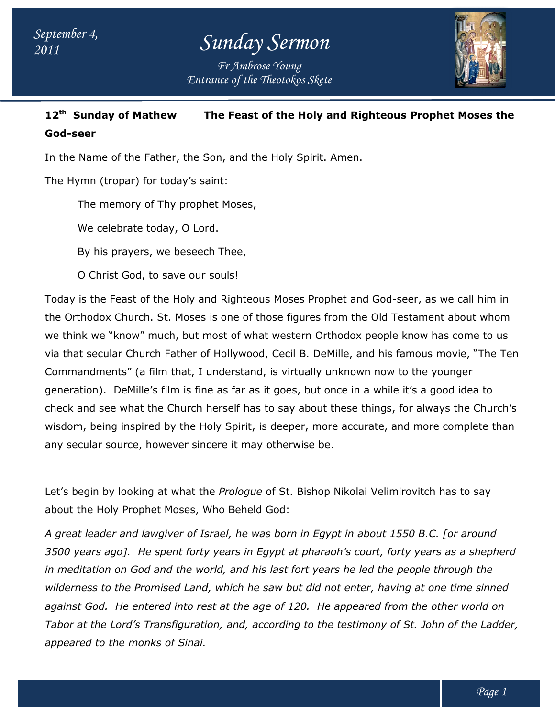*Entrance of the Theotokos Skete Fr Ambrose Young*



#### **12th Sunday of Mathew The Feast of the Holy and Righteous Prophet Moses the Moses God-seer**

In the Name of the Father, the Son, and the Holy Spirit. Amen.

The Hymn (tropar) for today's saint:

The memory of Thy prophet Moses,

We celebrate today, O Lord.

By his prayers, we beseech Thee,

O Christ God, to save our souls!

Today is the Feast of the Holy and Righteous Moses Prophet and God-seer, as we call him in the Orthodox Church. St. Moses is one of those figures from the Old Testament about whom the Orthodox Church. St. Moses is one of those figures from the Old Testament about whom<br>we think we "know" much, but most of what western Orthodox people know has come to us via that secular Church Father of Hollywood, Cecil B. DeMille, and his famous movie, "The Ten Commandments" (a film that, I understand, is virtually unknown now to the younger via that secular Church Father of Hollywood, Cecil B. DeMille, and his famous movie, "The<br>Commandments" (a film that, I understand, is virtually unknown now to the younger<br>generation). DeMille's film is fine as far as it check and see what the Church herself has to say about these things, for always the Church's check and see what the Church herself has to say about these things, for always the Church's<br>wisdom, being inspired by the Holy Spirit, is deeper, more accurate, and more complete than any secular source, however sincere it may otherwise be. wisdom, being inspired by the Holy Spirit, is deeper, more accurate, and more complete t<br>any secular source, however sincere it may otherwise be.<br>Let's begin by looking at what the Prologue of St. Bishop Nikolai Velimirovi Name of the Father, the Son, and the Holy Spirit. Amen.<br>1997) for today's saint:<br>The memory of Thy prophet Moses,<br>We celebrate today, O Lord.<br>By his prayers, we beseech Thee,<br>O Christ God, to save our souls!<br>is the Feast o

about the Holy Prophet Moses, Who Beheld God:

*A great leader and lawgiver of Israel, he was born in Egypt in about 1550 B.C. [or around 3500 years ago]. He spent forty years in Egypt at pharaoh's court, forty years as a shepherd*  A great leader and lawgiver of Israel, he was born in Egypt in about 1550 B.C. [or around<br>3500 years ago]. He spent forty years in Egypt at pharaoh's court, forty years as a shepl<br>in meditation on God and the world, and h *wilderness to the Promised Land, which he saw but did not enter, having at one time sinned*  wilderness to the Promised Land, which he saw but did not enter, having at one time sinned<br>against God. He entered into rest at the age of 120. He appeared from the other world on Tabor at the Lord's Transfiguration, and, according to the testimony of St. John of the Ladder, *appeared to the monks of Sinai. ears he led the people through the<br>not enter, having at one time sinned<br>de appeared from the other world on<br>he testimony of St. John of the Ladder,*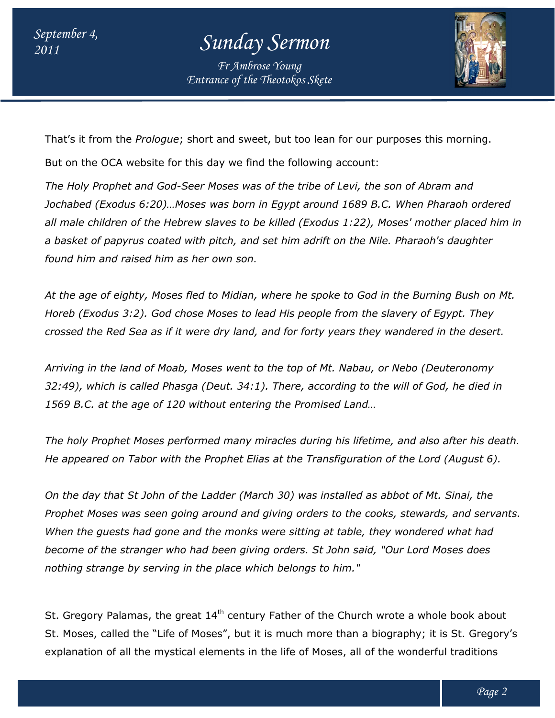*Entrance of the Theotokos Skete Fr Ambrose Young*



That's it from the *Prologue*; short and sweet, but too lean for our purposes this morning.

But on the OCA website for this day we find the following account:

*The Holy Prophet and God-Seer Moses was of the tribe of Levi, the son of Abram and Jochabed (Exodus 6:20)…Moses was born in Egypt around 1689 B.C. When Pharaoh ordered all male children of the Hebrew slaves to be killed (Exodus 1:22), Moses' mother placed him in a basket of papyrus coated with pitch, and set him adrift on the Nile. Pharaoh's daughter found him and raised him as her own son. Prophet and God-Seer Moses was of the tribe of Levi, the son of Abram and*<br>(Exodus 6:20)…Moses was born in Egypt around 1689 B.C. When Pharaoh ordered<br>hildren of the Hebrew slaves to be killed (Exodus 1:22), Moses' mother

*At the age of eighty, Moses fled to Midian, where he spoke to God in the Burning Bush on Mt.*  Horeb (Exodus 3:2). God chose Moses to lead His people from the slavery of Egypt. They *crossed the Red Sea as if it were dry land, and for forty years they wandered in the desert.* 

*Arriving in the land of Moab, Moses went to the top of Mt. Nabau, or Nebo (Deuteronomy*  crossed the Red Sea as if it were dry land, and for forty years they wandered in the desert.<br>Arriving in the land of Moab, Moses went to the top of Mt. Nabau, or Nebo (Deuteronomy<br>32:49), which is called Phasga (Deut. 34:1 *1569 B.C. at the age of 120 without entering the Promised Land… loses to lead His people from the slaver<br>dry land, and for forty years they wand<br>es went to the top of Mt. Nabau, or Neb<br>eut. 34:1). There, according to the will<br>out entering the Promised Land...<br>d many miracles during hi* 

*The holy Prophet Moses performed many miracles during his lifetime, and also after his death.*  1569 B.C. at the age of 120 without entering the Promised Land...<br>The holy Prophet Moses performed many miracles during his lifetime, and also after his dea<br>He appeared on Tabor with the Prophet Elias at the Transfiguratio

*On the day that St John of the Ladder (March 30) was installed as abbot of Mt. Sinai, the Prophet Moses was seen going around and giving orders to the cooks, stewards, and servants. When the guests had gone and the monks were sitting at table, they wondered what had become of the stranger who had been giving orders. St John said, "Our Lord Moses does nothing strange by serving in the place which belongs to him." St John of the Ladder (March 30) was installed as abbot of Mt. Sinai, the<br>vas seen going around and giving orders to the cooks, stewards, and servants.<br>i had gone and the monks were sitting at table, they wondered what ha* 

St. Gregory Palamas, the great 14<sup>th</sup> century Father of the Church wrote a whole book about St. Moses, called the "Life of Moses", but it is much more than a biography; it is St. Gregory's St. Moses, called the "Life of Moses", but it is much more than a biography; it is St. Gregoi<br>explanation of all the mystical elements in the life of Moses, all of the wonderful traditions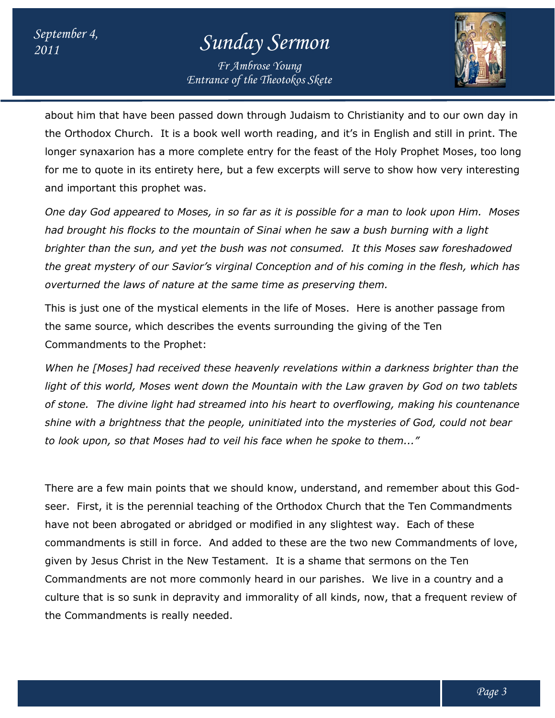*Entrance of the Theotokos Skete Fr Ambrose Young*



about him that have been passed down through Judaism to Christianity and to our own day in the Orthodox Church. It is a book well worth reading, and it's in English and still in print. print. The longer synaxarion has a more complete entry for the feast of the Holy Prop for me to quote in its entirety here, but a few excerpts will serve to show how very interesting and important this prophet was. Church. It is a book well worth reading, and it's in English and still in print. The<br>rion has a more complete entry for the feast of the Holy Prophet Moses, too long<br>te in its entirety here, but a few excerpts will serve t Prophet Moses, too long

*One day God appeared to Moses, in so far as it is possible for a man to look upon Him. Moses day Moses had brought his flocks to the mountain of Sinai when he saw a bush burning with a light brighter than the sun, and yet the bush was not consumed. It this Moses saw foreshadowed the great mystery of our Savior's virginal Conception and of his coming in the flesh, whi which has overturned the laws of nature at the same time as preserving them.* ocks to the mountain of Sinai when he saw a bush bur<br>sun, and yet the bush was not consumed. It this Mose<br>of our Savior's virginal Conception and of his coming<br>ws of nature at the same time as preserving them.

This is just one of the mystical elements in the life of Moses. Here is another passage from This is just one of the mystical elements in the life of Moses. Here is another passage<br>the same source, which describes the events surrounding the giving of the Ten Commandments to the Prophet:

*When he [Moses] had received these heavenly revelations within a darkness brighter than the light of this world, Moses went down the Mountain with the Law graven by God on two tablets of stone. The divine light had streamed into his heart to overflowing, making his countenance shine with a brightness that the people, uninitiated into the mysteries of God, could not bear to look upon, so that Moses had to veil his face when he spoke to them..."* light of this world, Moses went down the Mountain with the Law graven by God on two tablets<br>of stone. The divine light had streamed into his heart to overflowing, making his countenance<br>shine with a brightness that the pe

There are a few main points that we should know, understand, and remember about this Godseer. First, it is the perennial teaching of the Orthodox Church that the Ten Commandments have not been abrogated or abridged or modified in any slightest way. Ea Each of these commandments is still in force. And added to these are the two new Commandments of love, given by Jesus Christ in the New Testament. It is a shame that sermons on the Ten Commandments are not more commonly heard in our parishes. We live in a country and a culture that is so sunk in depravity and immorality of all kinds, now, that a frequent review of the Commandments is really needed. are a few main points that we should know, understand, and remember about First, it is the perennial teaching of the Orthodox Church that the Ten Comman not been abrogated or abridged or modified in any slightest way. Each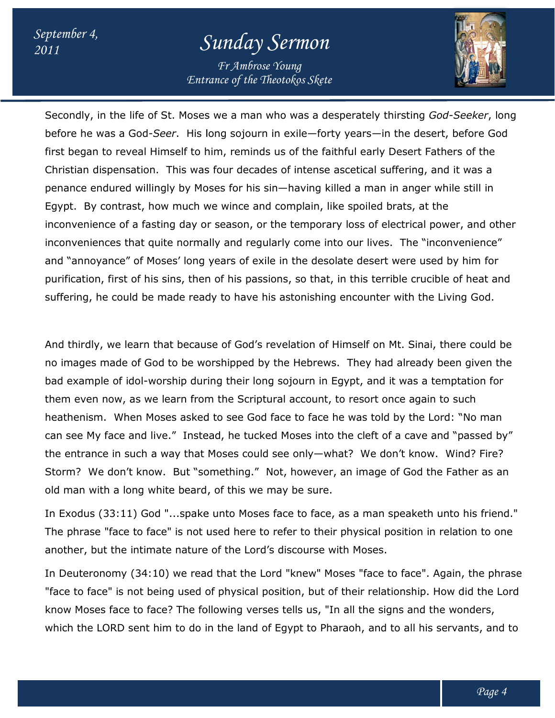*Entrance of the Theotokos Skete Fr Ambrose Young*



Secondly, in the life of St. Moses we a man who was a desperately thirsting *God-Seeker*, long Secondly, in the life of St. Moses we a man who was a desperately thirsting *God-Seeker*, long<br>before he was a God-*Seer*. His long sojourn in exile—forty years—in the desert, before God first began to reveal Himself to him, reminds us of the faithful early Desert Fathers of the Christian dispensation. This was four decades of intense ascetical suffering, and it first began to reveal Himself to him, reminds us of the faithful early Desert Fathers of the<br>Christian dispensation. This was four decades of intense ascetical suffering, and it was a<br>penance endured willingly by Moses fo Egypt. By contrast, how much we wince and complain, like spoiled brats, at the penance endured willingly by Moses for his sin—having killed a man in anger while still in<br>Egypt. By contrast, how much we wince and complain, like spoiled brats, at the<br>inconvenience of a fasting day or season, or the te inconveniences that quite normally and regularly come into our lives. The "inconvenience" and "annoyance" of Moses' long years of exile in the desolate desert were used by him for Egypt. By contrast, how much we wince and complain, like spoiled brats, at the<br>inconvenience of a fasting day or season, or the temporary loss of electrical power, and other<br>inconveniences that quite normally and regularly suffering, he could be made ready to have his astonishing encounter with the Living God. in the desert, before G<br>y Desert Fathers of the<br>suffering, and it was a

And thirdly, we learn that because of God's revelation of Himself on Mt. Sinai, there could be no images made of God to be worshipped by the Hebrews. They had already been given the bad example of idol-worship during their long sojourn in Egypt, and it was a temptation for them even now, as we learn from the Scriptural account, to resort once again to such heathenism. When Moses asked to see God face to face he was told by the Lord: "No man can see My face and live." Instead, he tucked Moses into the cleft of a cave and "passed by" the entrance in such a way that Moses could see only-what? We don't know. Wind? Fire? Storm? We don't know. But "something." Not, however, an image of God the Father as an old man with a long white beard, of this we may be sure. could be made ready to have his astonishing encounter with the Living God.<br>We learn that because of God's revelation of Himself on Mt. Sinai, there could be<br>hade of God to be worshipped by the Hebrews. They had already bee now, as we learn from the Scriptural account, to resort once again to such<br>The Moses asked to see God face to face he was told by the Lord: "No man<br>face and live." Instead, he tucked Moses into the cleft of a cave and "pas ation, first of his sins, then of his passions, so that, in this terrible crucible of heat and<br>mg, he could be made ready to have his astonishing encounter with the Living God.<br>Inirdly, we learn that because of God's revel

In Exodus (33:11) God "...spake unto Moses face to face, as a man speaketh unto his friend." The phrase "face to face" is not used here to refer to their physical position in relation to one another, but the intimate nature of the Lord's discourse with Moses.

In Deuteronomy (34:10) we read that the Lord "knew" Moses "face to face". Again, the phrase "face to face" is not being used of physical position, but of their relationship. How did the Lord know Moses face to face? The following verses tells us, "In all the signs and the wonders, which the LORD sent him to do in the land of Egypt to Pharaoh, and to all his servants, and to face to face" is not used here to refer to their physical position in relation to one<br>the intimate nature of the Lord's discourse with Moses.<br>Jmy (34:10) we read that the Lord "knew" Moses "face to face". Again, the phrase